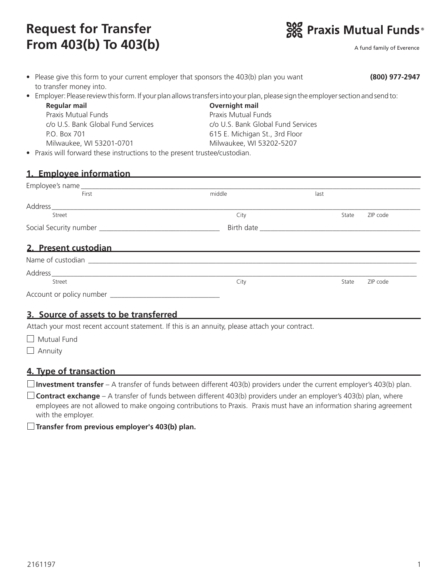# **Request for Transfer From 403(b) To 403(b)**



A fund family of Everence

| • Please give this form to your current employer that sponsors the 403(b) plan you want<br>to transfer money into.                                                                                                                   |                                                                                                                                                                                                                                                                                    | (800) 977-2947 |          |
|--------------------------------------------------------------------------------------------------------------------------------------------------------------------------------------------------------------------------------------|------------------------------------------------------------------------------------------------------------------------------------------------------------------------------------------------------------------------------------------------------------------------------------|----------------|----------|
| $\bullet$<br><b>Regular mail</b><br>Praxis Mutual Funds<br>c/o U.S. Bank Global Fund Services<br>P.O. Box 701<br>Milwaukee, WI 53201-0701<br>• Praxis will forward these instructions to the present trustee/custodian.              | Employer: Please review this form. If your plan allows transfers into your plan, please sign the employer section and send to:<br><b>Overnight mail</b><br>Praxis Mutual Funds<br>c/o U.S. Bank Global Fund Services<br>615 E. Michigan St., 3rd Floor<br>Milwaukee, WI 53202-5207 |                |          |
| <u>1. Employee information example and the set of the set of the set of the set of the set of the set of the set of the set of the set of the set of the set of the set of the set of the set of the set of the set of the set o</u> |                                                                                                                                                                                                                                                                                    |                |          |
|                                                                                                                                                                                                                                      |                                                                                                                                                                                                                                                                                    |                |          |
| First                                                                                                                                                                                                                                | middle                                                                                                                                                                                                                                                                             | last           |          |
|                                                                                                                                                                                                                                      |                                                                                                                                                                                                                                                                                    |                |          |
| Street                                                                                                                                                                                                                               | City                                                                                                                                                                                                                                                                               | State          | ZIP code |
|                                                                                                                                                                                                                                      |                                                                                                                                                                                                                                                                                    |                |          |
| 2. Present custodian and a state of the contract of the contract of the contract of the contract of the contract of the contract of the contract of the contract of the contract of the contract of the contract of the contra       |                                                                                                                                                                                                                                                                                    |                |          |
|                                                                                                                                                                                                                                      |                                                                                                                                                                                                                                                                                    |                |          |
|                                                                                                                                                                                                                                      |                                                                                                                                                                                                                                                                                    |                |          |
| Street                                                                                                                                                                                                                               | City                                                                                                                                                                                                                                                                               | State          | ZIP code |
|                                                                                                                                                                                                                                      |                                                                                                                                                                                                                                                                                    |                |          |

# **3. Source of assets to be transferred**

Attach your most recent account statement. If this is an annuity, please attach your contract.

 $\Box$  Mutual Fund

 $\Box$  Annuity

# **4. Type of transaction**

**Investment transfer** – A transfer of funds between different 403(b) providers under the current employer's 403(b) plan.

**Contract exchange** – A transfer of funds between different 403(b) providers under an employer's 403(b) plan, where employees are not allowed to make ongoing contributions to Praxis. Praxis must have an information sharing agreement with the employer.

**Transfer from previous employer's 403(b) plan.**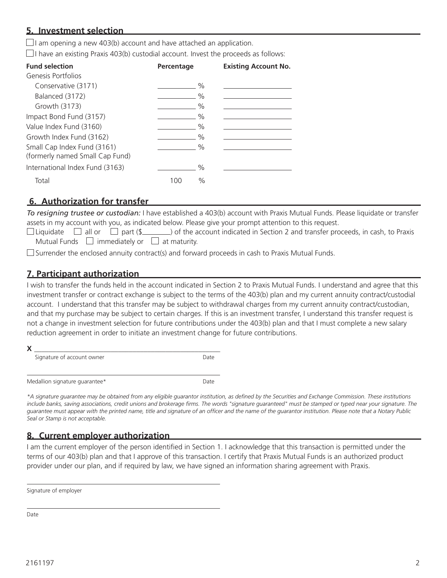#### **5. Investment selection**

 $\Box$ I am opening a new 403(b) account and have attached an application.

 $\Box$  I have an existing Praxis 403(b) custodial account. Invest the proceeds as follows:

| <b>Fund selection</b>                                          | Percentage | <b>Existing Account No.</b> |
|----------------------------------------------------------------|------------|-----------------------------|
| Genesis Portfolios                                             |            |                             |
| Conservative (3171)                                            |            | $\frac{0}{0}$               |
| Balanced (3172)                                                |            | $\frac{0}{0}$               |
| Growth (3173)                                                  |            | $\%$                        |
| Impact Bond Fund (3157)                                        |            | $\frac{0}{0}$               |
| Value Index Fund (3160)                                        |            | $\frac{0}{0}$               |
| Growth Index Fund (3162)                                       |            | $\%$                        |
| Small Cap Index Fund (3161)<br>(formerly named Small Cap Fund) |            | $\frac{0}{0}$               |
| International Index Fund (3163)                                |            | $\frac{0}{0}$               |
| Total                                                          | 100        | $\%$                        |

# **6. Authorization for transfer**

*To resigning trustee or custodian:* I have established a 403(b) account with Praxis Mutual Funds. Please liquidate or transfer assets in my account with you, as indicated below. Please give your prompt attention to this request.

 $\Box$  Liquidate  $\Box$  all or  $\Box$  part (\$  $\Box$ ) of the account indicated in Section 2 and transfer proceeds, in cash, to Praxis Mutual Funds  $\Box$  immediately or  $\Box$  at maturity.

 $\Box$  Surrender the enclosed annuity contract(s) and forward proceeds in cash to Praxis Mutual Funds.

# **7. Participant authorization**

I wish to transfer the funds held in the account indicated in Section 2 to Praxis Mutual Funds. I understand and agree that this investment transfer or contract exchange is subject to the terms of the 403(b) plan and my current annuity contract/custodial account. I understand that this transfer may be subject to withdrawal charges from my current annuity contract/custodian, and that my purchase may be subject to certain charges. If this is an investment transfer, I understand this transfer request is not a change in investment selection for future contributions under the 403(b) plan and that I must complete a new salary reduction agreement in order to initiate an investment change for future contributions.

| Х |                            |  |
|---|----------------------------|--|
|   | Signature of account owner |  |
|   |                            |  |

Medallion signature guarantee\* Date

*\*A signature guarantee may be obtained from any eligible guarantor institution, as defined by the Securities and Exchange Commission. These institutions include banks, saving associations, credit unions and brokerage firms. The words "signature guaranteed" must be stamped or typed near your signature. The guarantee must appear with the printed name, title and signature of an officer and the name of the guarantor institution. Please note that a Notary Public Seal or Stamp is not acceptable.*

#### **8. Current employer authorization**

I am the current employer of the person identified in Section 1. I acknowledge that this transaction is permitted under the terms of our 403(b) plan and that I approve of this transaction. I certify that Praxis Mutual Funds is an authorized product provider under our plan, and if required by law, we have signed an information sharing agreement with Praxis.

Signature of employer

Date